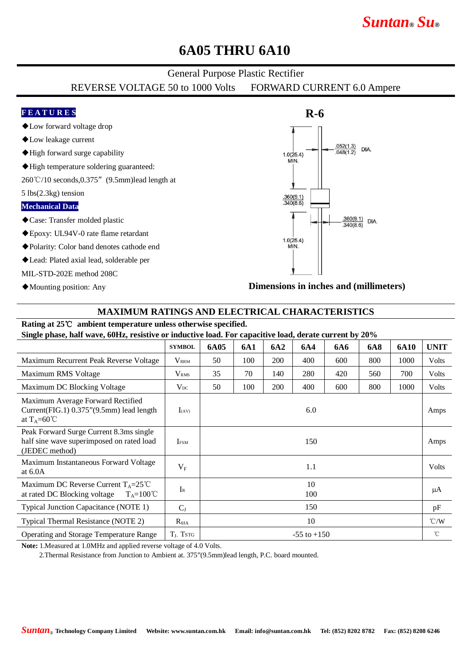# *Suntan***®** *Su***®**

## **6A05 THRU 6A10**

### General Purpose Plastic Rectifier

REVERSE VOLTAGE 50 to 1000 Volts FORWARD CURRENT 6.0 Ampere

### **F E A T U R E S**

- ◆Low forward voltage drop
- ◆Low leakage current
- ◆High forward surge capability
- ◆High temperature soldering guaranteed:

260℃/10 seconds,0.375"(9.5mm)lead length at

5 lbs(2.3kg) tension

#### **Mechanical Data**

- ◆Case: Transfer molded plastic
- ◆Epoxy: UL94V-0 rate flame retardant
- ◆Polarity: Color band denotes cathode end
- ◆Lead: Plated axial lead, solderable per

MIL-STD-202E method 208C

◆Mounting position: Any



**Dimensions in inches and (millimeters)**

#### **MAXIMUM RATINGS AND ELECTRICAL CHARACTERISTICS**

#### **Rating at 25**℃ **ambient temperature unless otherwise specified.**

**Single phase, half wave, 60Hz, resistive or inductive load. For capacitive load, derate current by 20%**

|                                                                                                          | <b>SYMBOL</b>    | 6A05            | 6A1 | 6A2 | 6A4 | <b>6A6</b> | <b>6A8</b> | 6A10 | <b>UNIT</b>   |
|----------------------------------------------------------------------------------------------------------|------------------|-----------------|-----|-----|-----|------------|------------|------|---------------|
| Maximum Recurrent Peak Reverse Voltage                                                                   | <b>VRRM</b>      | 50              | 100 | 200 | 400 | 600        | 800        | 1000 | <b>Volts</b>  |
| Maximum RMS Voltage                                                                                      | V <sub>RMS</sub> | 35              | 70  | 140 | 280 | 420        | 560        | 700  | Volts         |
| Maximum DC Blocking Voltage                                                                              | $V_{DC}$         | 50              | 100 | 200 | 400 | 600        | 800        | 1000 | <b>Volts</b>  |
| Maximum Average Forward Rectified<br>Current(FIG.1) 0.375"(9.5mm) lead length<br>at $T_A = 60^{\circ}$ C | $I_{(AV)}$       | 6.0             |     |     |     |            |            |      | Amps          |
| Peak Forward Surge Current 8.3ms single<br>half sine wave superimposed on rated load<br>(JEDEC method)   | <b>IFSM</b>      | 150             |     |     |     |            |            |      | Amps          |
| Maximum Instantaneous Forward Voltage<br>at $6.0A$                                                       | $V_{F}$          | 1.1             |     |     |     |            |            |      | <b>Volts</b>  |
| Maximum DC Reverse Current $T_A = 25^{\circ}C$<br>at rated DC Blocking voltage<br>$T_A = 100^{\circ}C$   | $I_{R}$          | 10<br>100       |     |     |     |            |            |      | μA            |
| Typical Junction Capacitance (NOTE 1)                                                                    | $C_{J}$          | 150             |     |     |     |            |            |      | pF            |
| Typical Thermal Resistance (NOTE 2)                                                                      | $R_{\theta JA}$  | 10              |     |     |     |            |            |      | $\degree$ C/W |
| <b>Operating and Storage Temperature Range</b>                                                           | $T_{J}$ , Tstg   | $-55$ to $+150$ |     |     |     |            |            |      | $^{\circ}$ C  |

**Note:** 1.Measured at 1.0MHz and applied reverse voltage of 4.0 Volts.

2.Thermal Resistance from Junction to Ambient at. 375"(9.5mm)lead length, P.C. board mounted.